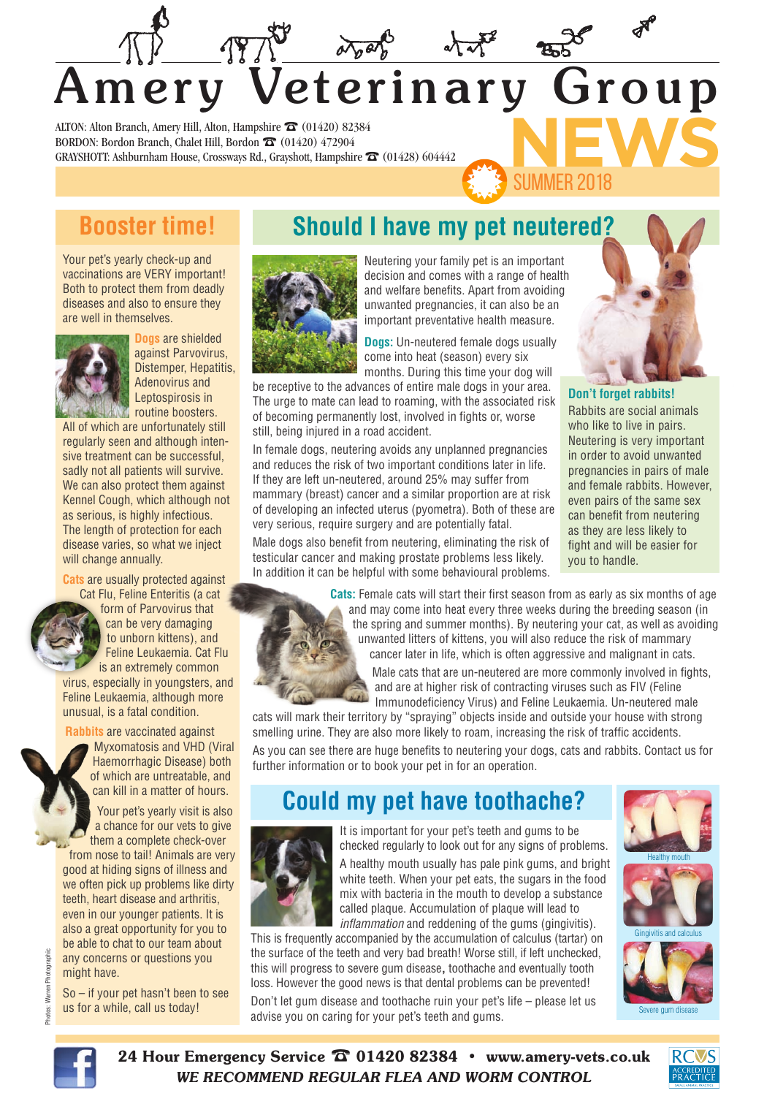# **NEWS** Amery Veterinary Group

ALTON: Alton Branch, Amery Hill, Alton, Hampshire  $\widehat{\mathbf{\Sigma}}$  (01420) 82384 BORDON: Bordon Branch, Chalet Hill, Bordon  $\widehat{\mathbf{\Sigma}}$  (01420) 472904 GRAYSHOTT: Ashburnham House, Crossways Rd., Grayshott, Hampshire  $\widehat{\mathbf{\Omega}}$  (01428) 604442

#### **Booster time!**

Your pet's yearly check-up and vaccinations are VERY important! Both to protect them from deadly diseases and also to ensure they are well in themselves.



**Dogs** are shielded against Parvovirus, Distemper, Hepatitis, Adenovirus and Leptospirosis in *FING* routine boosters.

All of which are unfortunately still regularly seen and although intensive treatment can be successful, sadly not all patients will survive. We can also protect them against Kennel Cough, which although not as serious, is highly infectious. The length of protection for each disease varies, so what we inject will change annually.

**Cats** are usually protected against Cat Flu, Feline Enteritis (a cat

form of Parvovirus that can be very damaging to unborn kittens), and Feline Leukaemia. Cat Flu is an extremely common virus, especially in youngsters, and Feline Leukaemia, although more

**Rabbits** are vaccinated against

unusual, is a fatal condition.

Myxomatosis and VHD (Viral Haemorrhagic Disease) both of which are untreatable, and can kill in a matter of hours.

 Your pet's yearly visit is also a chance for our vets to give them a complete check-over from nose to tail! Animals are very good at hiding signs of illness and we often pick up problems like dirty teeth, heart disease and arthritis, even in our younger patients. It is also a great opportunity for you to be able to chat to our team about any concerns or questions you might have.

Warren Photographic Photos: Warren Photographic

So – if your pet hasn't been to see us for a while, call us today!

## **Should I have my pet neutered?**



Neutering your family pet is an important decision and comes with a range of health and welfare benefits. Apart from avoiding unwanted pregnancies, it can also be an important preventative health measure.

**Dogs:** Un-neutered female dogs usually come into heat (season) every six months. During this time your dog will

be receptive to the advances of entire male dogs in your area. The urge to mate can lead to roaming, with the associated risk of becoming permanently lost, involved in fights or, worse still, being injured in a road accident.

In female dogs, neutering avoids any unplanned pregnancies and reduces the risk of two important conditions later in life. If they are left un-neutered, around 25% may suffer from mammary (breast) cancer and a similar proportion are at risk of developing an infected uterus (pyometra). Both of these are very serious, require surgery and are potentially fatal.

Male dogs also benefit from neutering, eliminating the risk of testicular cancer and making prostate problems less likely. In addition it can be helpful with some behavioural problems.

SUMMER 2018

**Don't forget rabbits!** Rabbits are social animals who like to live in pairs. Neutering is very important in order to avoid unwanted pregnancies in pairs of male and female rabbits. However, even pairs of the same sex can benefit from neutering as they are less likely to fight and will be easier for you to handle.

 **Cats:** Female cats will start their first season from as early as six months of age and may come into heat every three weeks during the breeding season (in the spring and summer months). By neutering your cat, as well as avoiding unwanted litters of kittens, you will also reduce the risk of mammary cancer later in life, which is often aggressive and malignant in cats.

Male cats that are un-neutered are more commonly involved in fights, and are at higher risk of contracting viruses such as FIV (Feline Immunodeficiency Virus) and Feline Leukaemia. Un-neutered male

cats will mark their territory by "spraying" objects inside and outside your house with strong smelling urine. They are also more likely to roam, increasing the risk of traffic accidents. As you can see there are huge benefits to neutering your dogs, cats and rabbits. Contact us for

further information or to book your pet in for an operation.

## **Could my pet have toothache?**



It is important for your pet's teeth and gums to be checked regularly to look out for any signs of problems. A healthy mouth usually has pale pink gums, and bright white teeth. When your pet eats, the sugars in the food mix with bacteria in the mouth to develop a substance called plaque. Accumulation of plaque will lead to *inflammation* and reddening of the gums (gingivitis).

This is frequently accompanied by the accumulation of calculus (tartar) on the surface of the teeth and very bad breath! Worse still, if left unchecked, this will progress to severe gum disease**,** toothache and eventually tooth loss. However the good news is that dental problems can be prevented! Don't let gum disease and toothache ruin your pet's life – please let us





24 Hour Emergency Service  $\widehat{\mathbb{Z}}$  01420 82384 • www.amery-vets.co.uk *WE RECOMMEND REGULAR FLEA AND WORM CONTROL*

advise you on caring for your pet's teeth and gums.